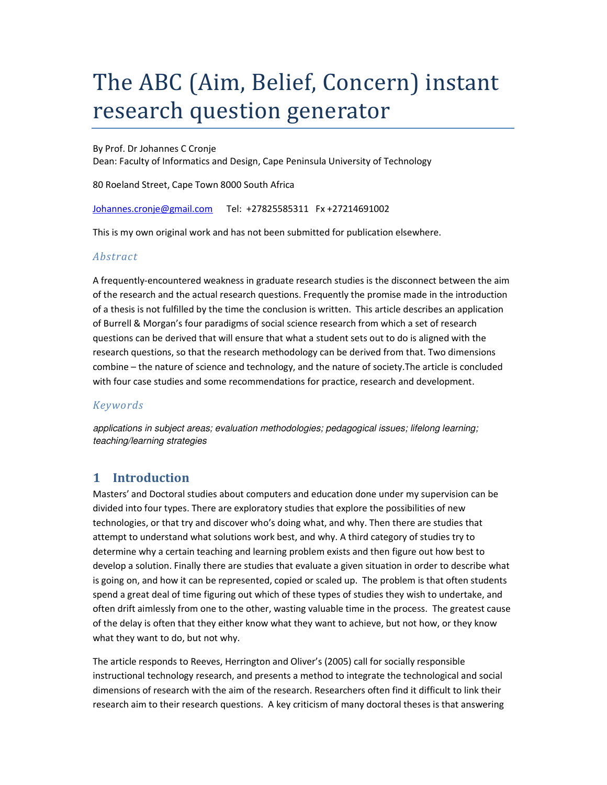# The ABC (Aim, Belief, Concern) instant research question generator

#### By Prof. Dr Johannes C Cronje

Dean: Faculty of Informatics and Design, Cape Peninsula University of Technology

80 Roeland Street, Cape Town 8000 South Africa

Johannes.cronje@gmail.com Tel: +27825585311 Fx +27214691002

This is my own original work and has not been submitted for publication elsewhere.

#### Abstract

A frequently-encountered weakness in graduate research studies is the disconnect between the aim of the research and the actual research questions. Frequently the promise made in the introduction of a thesis is not fulfilled by the time the conclusion is written. This article describes an application of Burrell & Morgan's four paradigms of social science research from which a set of research questions can be derived that will ensure that what a student sets out to do is aligned with the research questions, so that the research methodology can be derived from that. Two dimensions combine – the nature of science and technology, and the nature of society.The article is concluded with four case studies and some recommendations for practice, research and development.

#### Keywords

applications in subject areas; evaluation methodologies; pedagogical issues; lifelong learning; teaching/learning strategies

#### 1 Introduction

Masters' and Doctoral studies about computers and education done under my supervision can be divided into four types. There are exploratory studies that explore the possibilities of new technologies, or that try and discover who's doing what, and why. Then there are studies that attempt to understand what solutions work best, and why. A third category of studies try to determine why a certain teaching and learning problem exists and then figure out how best to develop a solution. Finally there are studies that evaluate a given situation in order to describe what is going on, and how it can be represented, copied or scaled up. The problem is that often students spend a great deal of time figuring out which of these types of studies they wish to undertake, and often drift aimlessly from one to the other, wasting valuable time in the process. The greatest cause of the delay is often that they either know what they want to achieve, but not how, or they know what they want to do, but not why.

The article responds to Reeves, Herrington and Oliver's (2005) call for socially responsible instructional technology research, and presents a method to integrate the technological and social dimensions of research with the aim of the research. Researchers often find it difficult to link their research aim to their research questions. A key criticism of many doctoral theses is that answering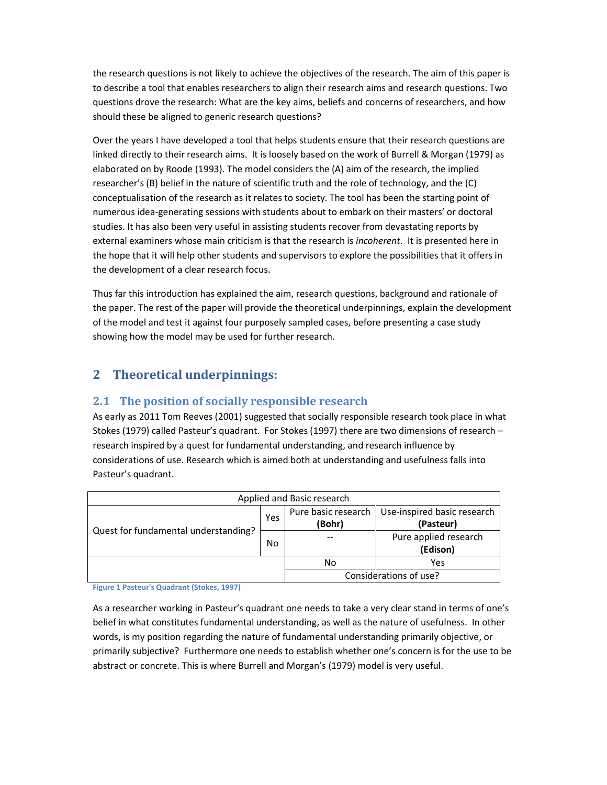the research questions is not likely to achieve the objectives of the research. The aim of this paper is to describe a tool that enables researchers to align their research aims and research questions. Two questions drove the research: What are the key aims, beliefs and concerns of researchers, and how should these be aligned to generic research questions?

Over the years I have developed a tool that helps students ensure that their research questions are linked directly to their research aims. It is loosely based on the work of Burrell & Morgan (1979) as elaborated on by Roode (1993). The model considers the (A) aim of the research, the implied researcher's (B) belief in the nature of scientific truth and the role of technology, and the (C) conceptualisation of the research as it relates to society. The tool has been the starting point of numerous idea-generating sessions with students about to embark on their masters' or doctoral studies. It has also been very useful in assisting students recover from devastating reports by external examiners whose main criticism is that the research is incoherent. It is presented here in the hope that it will help other students and supervisors to explore the possibilities that it offers in the development of a clear research focus.

Thus far this introduction has explained the aim, research questions, background and rationale of the paper. The rest of the paper will provide the theoretical underpinnings, explain the development of the model and test it against four purposely sampled cases, before presenting a case study showing how the model may be used for further research.

# 2 Theoretical underpinnings:

#### 2.1 The position of socially responsible research

As early as 2011 Tom Reeves (2001) suggested that socially responsible research took place in what Stokes (1979) called Pasteur's quadrant. For Stokes (1997) there are two dimensions of research – research inspired by a quest for fundamental understanding, and research influence by considerations of use. Research which is aimed both at understanding and usefulness falls into Pasteur's quadrant.

| Applied and Basic research           |    |                               |                                          |  |  |
|--------------------------------------|----|-------------------------------|------------------------------------------|--|--|
| Quest for fundamental understanding? |    | Pure basic research<br>(Bohr) | Use-inspired basic research<br>(Pasteur) |  |  |
|                                      | No |                               | Pure applied research                    |  |  |
|                                      |    |                               | (Edison)                                 |  |  |
|                                      |    | No                            | Yes                                      |  |  |
|                                      |    | Considerations of use?        |                                          |  |  |

Figure 1 Pasteur's Quadrant (Stokes, 1997)

As a researcher working in Pasteur's quadrant one needs to take a very clear stand in terms of one's belief in what constitutes fundamental understanding, as well as the nature of usefulness. In other words, is my position regarding the nature of fundamental understanding primarily objective, or primarily subjective? Furthermore one needs to establish whether one's concern is for the use to be abstract or concrete. This is where Burrell and Morgan's (1979) model is very useful.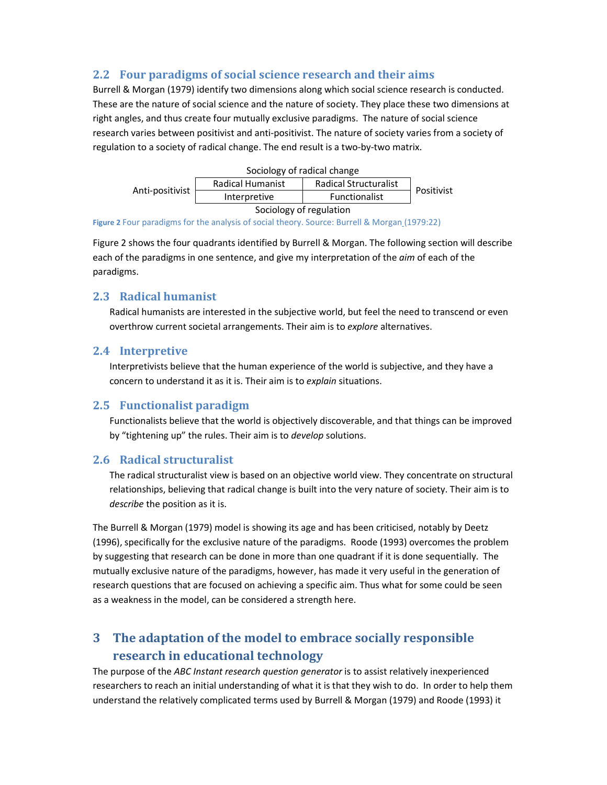## 2.2 Four paradigms of social science research and their aims

Burrell & Morgan (1979) identify two dimensions along which social science research is conducted. These are the nature of social science and the nature of society. They place these two dimensions at right angles, and thus create four mutually exclusive paradigms. The nature of social science research varies between positivist and anti-positivist. The nature of society varies from a society of regulation to a society of radical change. The end result is a two-by-two matrix.

| Sociology of radical change |                         |                              |            |  |  |
|-----------------------------|-------------------------|------------------------------|------------|--|--|
| Anti-positivist             | <b>Radical Humanist</b> | <b>Radical Structuralist</b> | Positivist |  |  |
|                             | Interpretive            | <b>Functionalist</b>         |            |  |  |
| Sociology of regulation     |                         |                              |            |  |  |

Figure 2 Four paradigms for the analysis of social theory. Source: Burrell & Morgan (1979:22)

Figure 2 shows the four quadrants identified by Burrell & Morgan. The following section will describe each of the paradigms in one sentence, and give my interpretation of the *aim* of each of the paradigms.

#### 2.3 Radical humanist

Radical humanists are interested in the subjective world, but feel the need to transcend or even overthrow current societal arrangements. Their aim is to explore alternatives.

#### 2.4 Interpretive

Interpretivists believe that the human experience of the world is subjective, and they have a concern to understand it as it is. Their aim is to explain situations.

#### 2.5 Functionalist paradigm

Functionalists believe that the world is objectively discoverable, and that things can be improved by "tightening up" the rules. Their aim is to develop solutions.

#### 2.6 Radical structuralist

The radical structuralist view is based on an objective world view. They concentrate on structural relationships, believing that radical change is built into the very nature of society. Their aim is to describe the position as it is.

The Burrell & Morgan (1979) model is showing its age and has been criticised, notably by Deetz (1996), specifically for the exclusive nature of the paradigms. Roode (1993) overcomes the problem by suggesting that research can be done in more than one quadrant if it is done sequentially. The mutually exclusive nature of the paradigms, however, has made it very useful in the generation of research questions that are focused on achieving a specific aim. Thus what for some could be seen as a weakness in the model, can be considered a strength here.

# 3 The adaptation of the model to embrace socially responsible research in educational technology

The purpose of the ABC Instant research question generator is to assist relatively inexperienced researchers to reach an initial understanding of what it is that they wish to do. In order to help them understand the relatively complicated terms used by Burrell & Morgan (1979) and Roode (1993) it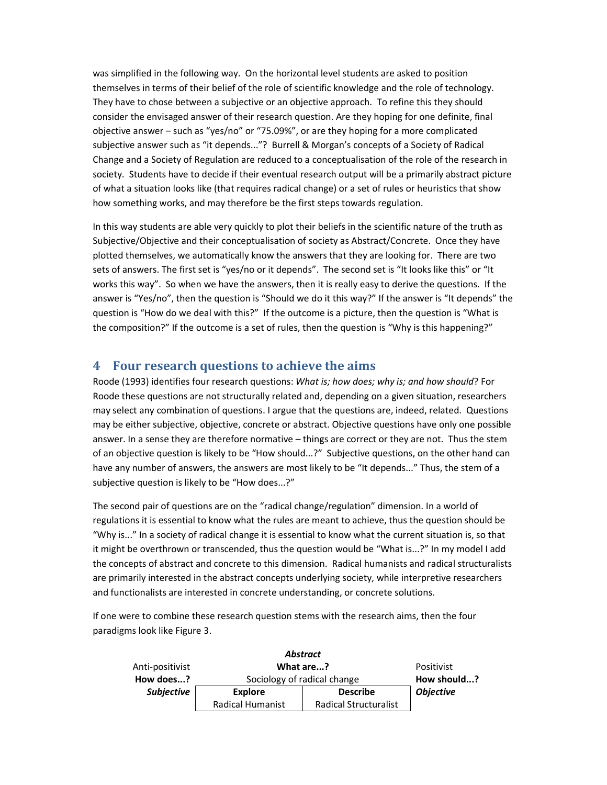was simplified in the following way. On the horizontal level students are asked to position themselves in terms of their belief of the role of scientific knowledge and the role of technology. They have to chose between a subjective or an objective approach. To refine this they should consider the envisaged answer of their research question. Are they hoping for one definite, final objective answer – such as "yes/no" or "75.09%", or are they hoping for a more complicated subjective answer such as "it depends..."? Burrell & Morgan's concepts of a Society of Radical Change and a Society of Regulation are reduced to a conceptualisation of the role of the research in society. Students have to decide if their eventual research output will be a primarily abstract picture of what a situation looks like (that requires radical change) or a set of rules or heuristics that show how something works, and may therefore be the first steps towards regulation.

In this way students are able very quickly to plot their beliefs in the scientific nature of the truth as Subjective/Objective and their conceptualisation of society as Abstract/Concrete. Once they have plotted themselves, we automatically know the answers that they are looking for. There are two sets of answers. The first set is "yes/no or it depends". The second set is "It looks like this" or "It works this way". So when we have the answers, then it is really easy to derive the questions. If the answer is "Yes/no", then the question is "Should we do it this way?" If the answer is "It depends" the question is "How do we deal with this?" If the outcome is a picture, then the question is "What is the composition?" If the outcome is a set of rules, then the question is "Why is this happening?"

#### 4 Four research questions to achieve the aims

Roode (1993) identifies four research questions: What is; how does; why is; and how should? For Roode these questions are not structurally related and, depending on a given situation, researchers may select any combination of questions. I argue that the questions are, indeed, related. Questions may be either subjective, objective, concrete or abstract. Objective questions have only one possible answer. In a sense they are therefore normative – things are correct or they are not. Thus the stem of an objective question is likely to be "How should...?" Subjective questions, on the other hand can have any number of answers, the answers are most likely to be "It depends..." Thus, the stem of a subjective question is likely to be "How does...?"

The second pair of questions are on the "radical change/regulation" dimension. In a world of regulations it is essential to know what the rules are meant to achieve, thus the question should be "Why is..." In a society of radical change it is essential to know what the current situation is, so that it might be overthrown or transcended, thus the question would be "What is...?" In my model I add the concepts of abstract and concrete to this dimension. Radical humanists and radical structuralists are primarily interested in the abstract concepts underlying society, while interpretive researchers and functionalists are interested in concrete understanding, or concrete solutions.

If one were to combine these research question stems with the research aims, then the four paradigms look like Figure 3.

|                   |                             | Abstract                     |                  |  |
|-------------------|-----------------------------|------------------------------|------------------|--|
| Anti-positivist   | What are?                   | Positivist                   |                  |  |
| How does?         | Sociology of radical change | How should?                  |                  |  |
| <b>Subjective</b> | <b>Explore</b>              | <b>Describe</b>              | <b>Objective</b> |  |
|                   | <b>Radical Humanist</b>     | <b>Radical Structuralist</b> |                  |  |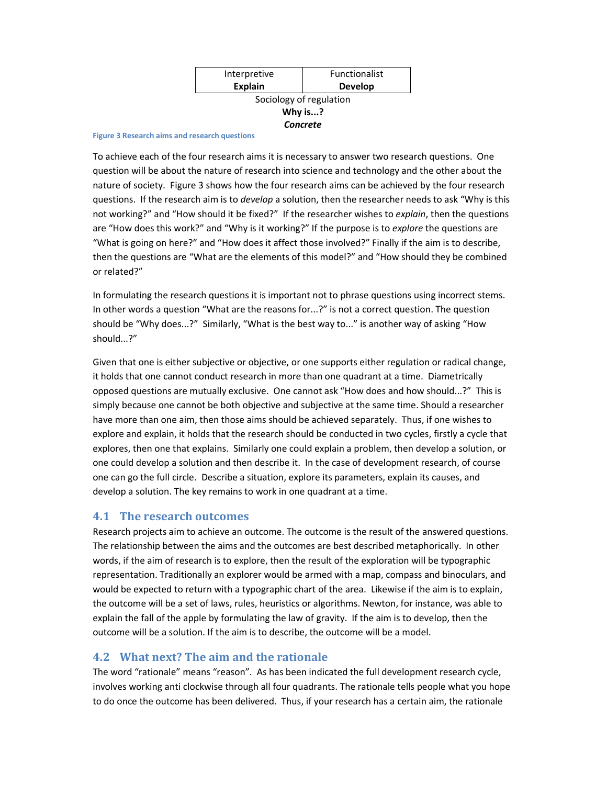| Interpretive                     | <b>Functionalist</b> |  |  |  |
|----------------------------------|----------------------|--|--|--|
| <b>Explain</b><br><b>Develop</b> |                      |  |  |  |
| Sociology of regulation          |                      |  |  |  |
| Why is?                          |                      |  |  |  |
| Concrete                         |                      |  |  |  |
| Linconsolo quaetiane             |                      |  |  |  |

#### Figure 3 Research aims and research questions

To achieve each of the four research aims it is necessary to answer two research questions. One question will be about the nature of research into science and technology and the other about the nature of society. Figure 3 shows how the four research aims can be achieved by the four research questions. If the research aim is to *develop* a solution, then the researcher needs to ask "Why is this not working?" and "How should it be fixed?" If the researcher wishes to explain, then the questions are "How does this work?" and "Why is it working?" If the purpose is to explore the questions are "What is going on here?" and "How does it affect those involved?" Finally if the aim is to describe, then the questions are "What are the elements of this model?" and "How should they be combined or related?"

In formulating the research questions it is important not to phrase questions using incorrect stems. In other words a question "What are the reasons for...?" is not a correct question. The question should be "Why does...?" Similarly, "What is the best way to..." is another way of asking "How should...?"

Given that one is either subjective or objective, or one supports either regulation or radical change, it holds that one cannot conduct research in more than one quadrant at a time. Diametrically opposed questions are mutually exclusive. One cannot ask "How does and how should...?" This is simply because one cannot be both objective and subjective at the same time. Should a researcher have more than one aim, then those aims should be achieved separately. Thus, if one wishes to explore and explain, it holds that the research should be conducted in two cycles, firstly a cycle that explores, then one that explains. Similarly one could explain a problem, then develop a solution, or one could develop a solution and then describe it. In the case of development research, of course one can go the full circle. Describe a situation, explore its parameters, explain its causes, and develop a solution. The key remains to work in one quadrant at a time.

#### 4.1 The research outcomes

Research projects aim to achieve an outcome. The outcome is the result of the answered questions. The relationship between the aims and the outcomes are best described metaphorically. In other words, if the aim of research is to explore, then the result of the exploration will be typographic representation. Traditionally an explorer would be armed with a map, compass and binoculars, and would be expected to return with a typographic chart of the area. Likewise if the aim is to explain, the outcome will be a set of laws, rules, heuristics or algorithms. Newton, for instance, was able to explain the fall of the apple by formulating the law of gravity. If the aim is to develop, then the outcome will be a solution. If the aim is to describe, the outcome will be a model.

## 4.2 What next? The aim and the rationale

The word "rationale" means "reason". As has been indicated the full development research cycle, involves working anti clockwise through all four quadrants. The rationale tells people what you hope to do once the outcome has been delivered. Thus, if your research has a certain aim, the rationale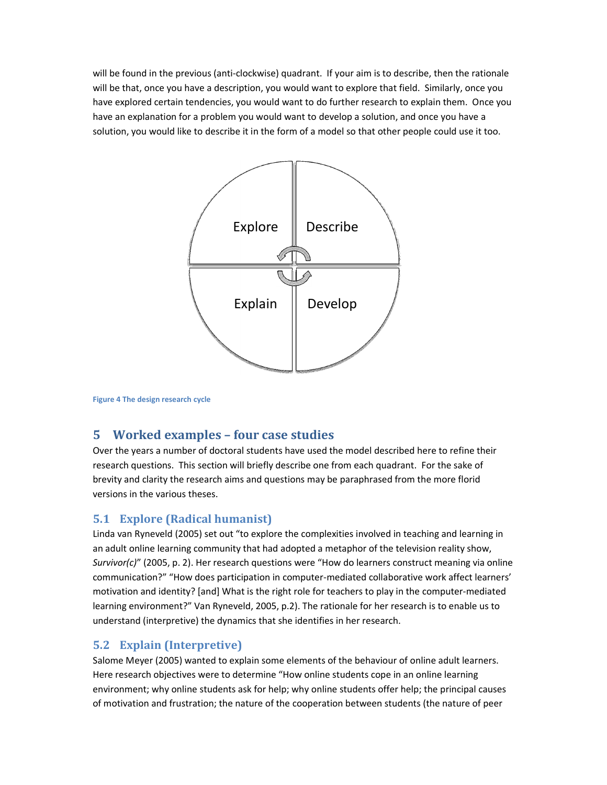will be found in the previous (anti-clockwise) quadrant. If your aim is to describe, then the rationale will be that, once you have a description, you would want to explore that field. Similarly, once you have explored certain tendencies, you would want to do further research to explain them. Once you have an explanation for a problem you would want to develop a solution, and once you have a solution, you would like to describe it in the form of a model so that other people could use it too.



Figure 4 The design research cycle

# 5 Worked examples – four case studies

Over the years a number of doctoral students have used the model described here to refine their research questions. This section will briefly describe one from each quadrant. For the sake of brevity and clarity the research aims and questions may be paraphrased from the more florid versions in the various theses.

# 5.1 Explore (Radical humanist)

Linda van Ryneveld (2005) set out "to explore the complexities involved in teaching and learning in an adult online learning community that had adopted a metaphor of the television reality show,  $Survivor(c)$ " (2005, p. 2). Her research questions were "How do learners construct meaning via online communication?" "How does participation in computer-mediated collaborative work affect learners' motivation and identity? [and] What is the right role for teachers to play in the computer-mediated learning environment?" Van Ryneveld, 2005, p.2). The rationale for her research is to enable us to understand (interpretive) the dynamics that she identifies in her research.

# 5.2 Explain (Interpretive)

Salome Meyer (2005) wanted to explain some elements of the behaviour of online adult learners. Here research objectives were to determine "How online students cope in an online learning environment; why online students ask for help; why online students offer help; the principal causes of motivation and frustration; the nature of the cooperation between students (the nature of peer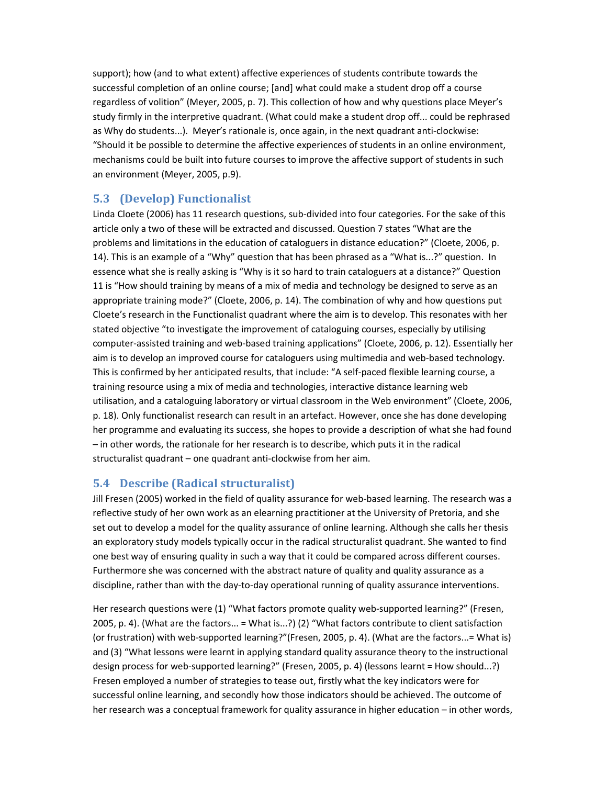support); how (and to what extent) affective experiences of students contribute towards the successful completion of an online course; [and] what could make a student drop off a course regardless of volition" (Meyer, 2005, p. 7). This collection of how and why questions place Meyer's study firmly in the interpretive quadrant. (What could make a student drop off... could be rephrased as Why do students...). Meyer's rationale is, once again, in the next quadrant anti-clockwise: "Should it be possible to determine the affective experiences of students in an online environment, mechanisms could be built into future courses to improve the affective support of students in such an environment (Meyer, 2005, p.9).

## 5.3 (Develop) Functionalist

Linda Cloete (2006) has 11 research questions, sub-divided into four categories. For the sake of this article only a two of these will be extracted and discussed. Question 7 states "What are the problems and limitations in the education of cataloguers in distance education?" (Cloete, 2006, p. 14). This is an example of a "Why" question that has been phrased as a "What is...?" question. In essence what she is really asking is "Why is it so hard to train cataloguers at a distance?" Question 11 is "How should training by means of a mix of media and technology be designed to serve as an appropriate training mode?" (Cloete, 2006, p. 14). The combination of why and how questions put Cloete's research in the Functionalist quadrant where the aim is to develop. This resonates with her stated objective "to investigate the improvement of cataloguing courses, especially by utilising computer-assisted training and web-based training applications" (Cloete, 2006, p. 12). Essentially her aim is to develop an improved course for cataloguers using multimedia and web-based technology. This is confirmed by her anticipated results, that include: "A self-paced flexible learning course, a training resource using a mix of media and technologies, interactive distance learning web utilisation, and a cataloguing laboratory or virtual classroom in the Web environment" (Cloete, 2006, p. 18). Only functionalist research can result in an artefact. However, once she has done developing her programme and evaluating its success, she hopes to provide a description of what she had found – in other words, the rationale for her research is to describe, which puts it in the radical structuralist quadrant – one quadrant anti-clockwise from her aim.

#### 5.4 Describe (Radical structuralist)

Jill Fresen (2005) worked in the field of quality assurance for web-based learning. The research was a reflective study of her own work as an elearning practitioner at the University of Pretoria, and she set out to develop a model for the quality assurance of online learning. Although she calls her thesis an exploratory study models typically occur in the radical structuralist quadrant. She wanted to find one best way of ensuring quality in such a way that it could be compared across different courses. Furthermore she was concerned with the abstract nature of quality and quality assurance as a discipline, rather than with the day-to-day operational running of quality assurance interventions.

Her research questions were (1) "What factors promote quality web-supported learning?" (Fresen, 2005, p. 4). (What are the factors... = What is...?) (2) "What factors contribute to client satisfaction (or frustration) with web-supported learning?"(Fresen, 2005, p. 4). (What are the factors...= What is) and (3) "What lessons were learnt in applying standard quality assurance theory to the instructional design process for web-supported learning?" (Fresen, 2005, p. 4) (lessons learnt = How should...?) Fresen employed a number of strategies to tease out, firstly what the key indicators were for successful online learning, and secondly how those indicators should be achieved. The outcome of her research was a conceptual framework for quality assurance in higher education – in other words,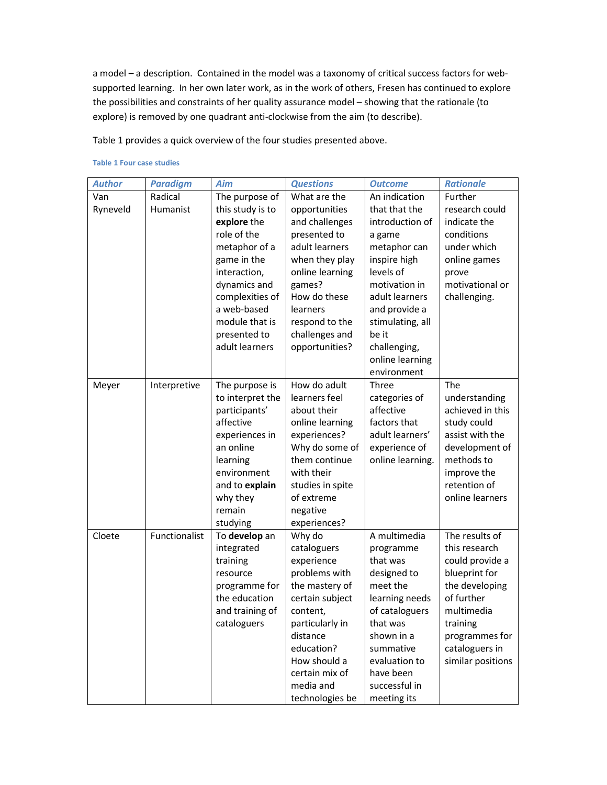a model – a description. Contained in the model was a taxonomy of critical success factors for websupported learning. In her own later work, as in the work of others, Fresen has continued to explore the possibilities and constraints of her quality assurance model – showing that the rationale (to explore) is removed by one quadrant anti-clockwise from the aim (to describe).

Table 1 provides a quick overview of the four studies presented above.

| <b>Author</b> | <b>Paradigm</b> | <b>Aim</b>       | <b>Questions</b> | <b>Outcome</b>   | <b>Rationale</b>  |
|---------------|-----------------|------------------|------------------|------------------|-------------------|
| Van           | Radical         | The purpose of   | What are the     | An indication    | Further           |
| Ryneveld      | Humanist        | this study is to | opportunities    | that that the    | research could    |
|               |                 | explore the      | and challenges   | introduction of  | indicate the      |
|               |                 | role of the      | presented to     | a game           | conditions        |
|               |                 | metaphor of a    | adult learners   | metaphor can     | under which       |
|               |                 | game in the      | when they play   | inspire high     | online games      |
|               |                 | interaction,     | online learning  | levels of        | prove             |
|               |                 | dynamics and     | games?           | motivation in    | motivational or   |
|               |                 | complexities of  | How do these     | adult learners   | challenging.      |
|               |                 | a web-based      | learners         | and provide a    |                   |
|               |                 | module that is   | respond to the   | stimulating, all |                   |
|               |                 | presented to     | challenges and   | be it            |                   |
|               |                 | adult learners   | opportunities?   | challenging,     |                   |
|               |                 |                  |                  | online learning  |                   |
|               |                 |                  |                  | environment      |                   |
| Meyer         | Interpretive    | The purpose is   | How do adult     | Three            | The               |
|               |                 | to interpret the | learners feel    | categories of    | understanding     |
|               |                 | participants'    | about their      | affective        | achieved in this  |
|               |                 | affective        | online learning  | factors that     | study could       |
|               |                 | experiences in   | experiences?     | adult learners'  | assist with the   |
|               |                 | an online        | Why do some of   | experience of    | development of    |
|               |                 | learning         | them continue    | online learning. | methods to        |
|               |                 | environment      | with their       |                  | improve the       |
|               |                 | and to explain   | studies in spite |                  | retention of      |
|               |                 | why they         | of extreme       |                  | online learners   |
|               |                 | remain           | negative         |                  |                   |
|               |                 | studying         | experiences?     |                  |                   |
| Cloete        | Functionalist   | To develop an    | Why do           | A multimedia     | The results of    |
|               |                 | integrated       | cataloguers      | programme        | this research     |
|               |                 | training         | experience       | that was         | could provide a   |
|               |                 | resource         | problems with    | designed to      | blueprint for     |
|               |                 | programme for    | the mastery of   | meet the         | the developing    |
|               |                 | the education    | certain subject  | learning needs   | of further        |
|               |                 | and training of  | content,         | of cataloguers   | multimedia        |
|               |                 | cataloguers      | particularly in  | that was         | training          |
|               |                 |                  | distance         | shown in a       | programmes for    |
|               |                 |                  | education?       | summative        | cataloguers in    |
|               |                 |                  | How should a     | evaluation to    | similar positions |
|               |                 |                  | certain mix of   | have been        |                   |
|               |                 |                  | media and        | successful in    |                   |
|               |                 |                  | technologies be  | meeting its      |                   |

#### Table 1 Four case studies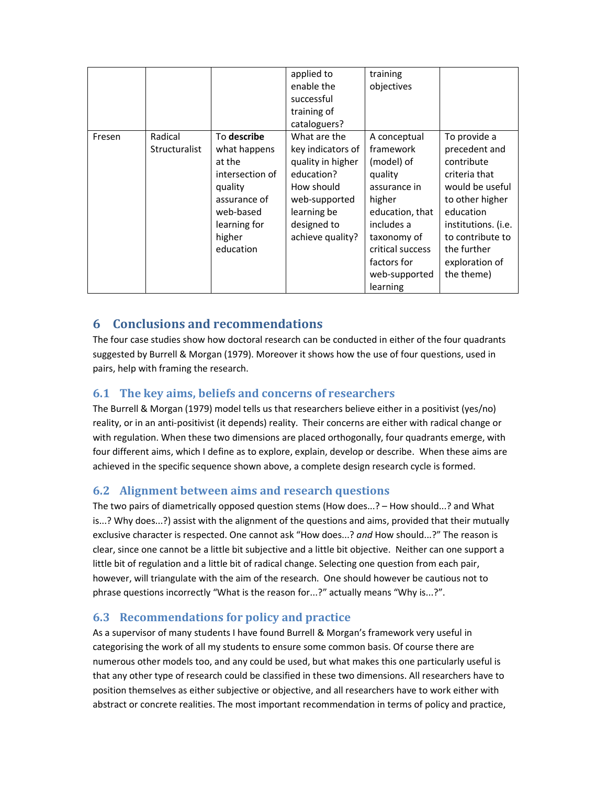|        |                                 |                                                                                                                                         | applied to<br>enable the<br>successful<br>training of<br>cataloguers?                                                                                 | training<br>objectives                                                                                                                                                                       |                                                                                                                                                                                                           |
|--------|---------------------------------|-----------------------------------------------------------------------------------------------------------------------------------------|-------------------------------------------------------------------------------------------------------------------------------------------------------|----------------------------------------------------------------------------------------------------------------------------------------------------------------------------------------------|-----------------------------------------------------------------------------------------------------------------------------------------------------------------------------------------------------------|
| Fresen | Radical<br><b>Structuralist</b> | To describe<br>what happens<br>at the<br>intersection of<br>quality<br>assurance of<br>web-based<br>learning for<br>higher<br>education | What are the<br>key indicators of<br>quality in higher<br>education?<br>How should<br>web-supported<br>learning be<br>designed to<br>achieve quality? | A conceptual<br>framework<br>(model) of<br>quality<br>assurance in<br>higher<br>education, that<br>includes a<br>taxonomy of<br>critical success<br>factors for<br>web-supported<br>learning | To provide a<br>precedent and<br>contribute<br>criteria that<br>would be useful<br>to other higher<br>education<br>institutions. (i.e.<br>to contribute to<br>the further<br>exploration of<br>the theme) |

## 6 Conclusions and recommendations

The four case studies show how doctoral research can be conducted in either of the four quadrants suggested by Burrell & Morgan (1979). Moreover it shows how the use of four questions, used in pairs, help with framing the research.

#### 6.1 The key aims, beliefs and concerns of researchers

The Burrell & Morgan (1979) model tells us that researchers believe either in a positivist (yes/no) reality, or in an anti-positivist (it depends) reality. Their concerns are either with radical change or with regulation. When these two dimensions are placed orthogonally, four quadrants emerge, with four different aims, which I define as to explore, explain, develop or describe. When these aims are achieved in the specific sequence shown above, a complete design research cycle is formed.

## 6.2 Alignment between aims and research questions

The two pairs of diametrically opposed question stems (How does...? – How should...? and What is...? Why does...?) assist with the alignment of the questions and aims, provided that their mutually exclusive character is respected. One cannot ask "How does...? and How should...?" The reason is clear, since one cannot be a little bit subjective and a little bit objective. Neither can one support a little bit of regulation and a little bit of radical change. Selecting one question from each pair, however, will triangulate with the aim of the research. One should however be cautious not to phrase questions incorrectly "What is the reason for...?" actually means "Why is...?".

## 6.3 Recommendations for policy and practice

As a supervisor of many students I have found Burrell & Morgan's framework very useful in categorising the work of all my students to ensure some common basis. Of course there are numerous other models too, and any could be used, but what makes this one particularly useful is that any other type of research could be classified in these two dimensions. All researchers have to position themselves as either subjective or objective, and all researchers have to work either with abstract or concrete realities. The most important recommendation in terms of policy and practice,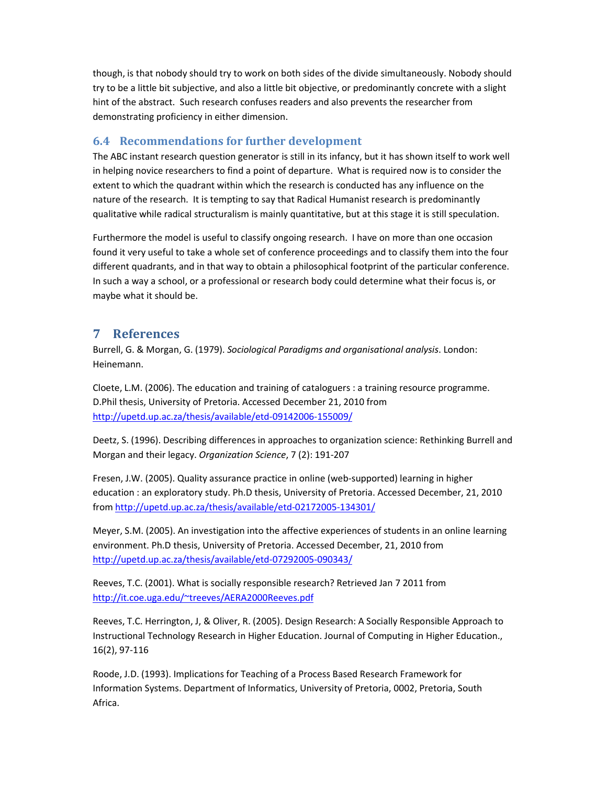though, is that nobody should try to work on both sides of the divide simultaneously. Nobody should try to be a little bit subjective, and also a little bit objective, or predominantly concrete with a slight hint of the abstract. Such research confuses readers and also prevents the researcher from demonstrating proficiency in either dimension.

#### 6.4 Recommendations for further development

The ABC instant research question generator is still in its infancy, but it has shown itself to work well in helping novice researchers to find a point of departure. What is required now is to consider the extent to which the quadrant within which the research is conducted has any influence on the nature of the research. It is tempting to say that Radical Humanist research is predominantly qualitative while radical structuralism is mainly quantitative, but at this stage it is still speculation.

Furthermore the model is useful to classify ongoing research. I have on more than one occasion found it very useful to take a whole set of conference proceedings and to classify them into the four different quadrants, and in that way to obtain a philosophical footprint of the particular conference. In such a way a school, or a professional or research body could determine what their focus is, or maybe what it should be.

## 7 References

Burrell, G. & Morgan, G. (1979). Sociological Paradigms and organisational analysis. London: Heinemann.

Cloete, L.M. (2006). The education and training of cataloguers : a training resource programme. D.Phil thesis, University of Pretoria. Accessed December 21, 2010 from http://upetd.up.ac.za/thesis/available/etd-09142006-155009/

Deetz, S. (1996). Describing differences in approaches to organization science: Rethinking Burrell and Morgan and their legacy. Organization Science, 7 (2): 191-207

Fresen, J.W. (2005). Quality assurance practice in online (web-supported) learning in higher education : an exploratory study. Ph.D thesis, University of Pretoria. Accessed December, 21, 2010 from http://upetd.up.ac.za/thesis/available/etd-02172005-134301/

Meyer, S.M. (2005). An investigation into the affective experiences of students in an online learning environment. Ph.D thesis, University of Pretoria. Accessed December, 21, 2010 from http://upetd.up.ac.za/thesis/available/etd-07292005-090343/

Reeves, T.C. (2001). What is socially responsible research? Retrieved Jan 7 2011 from http://it.coe.uga.edu/~treeves/AERA2000Reeves.pdf

Reeves, T.C. Herrington, J, & Oliver, R. (2005). Design Research: A Socially Responsible Approach to Instructional Technology Research in Higher Education. Journal of Computing in Higher Education., 16(2), 97-116

Roode, J.D. (1993). Implications for Teaching of a Process Based Research Framework for Information Systems. Department of Informatics, University of Pretoria, 0002, Pretoria, South Africa.